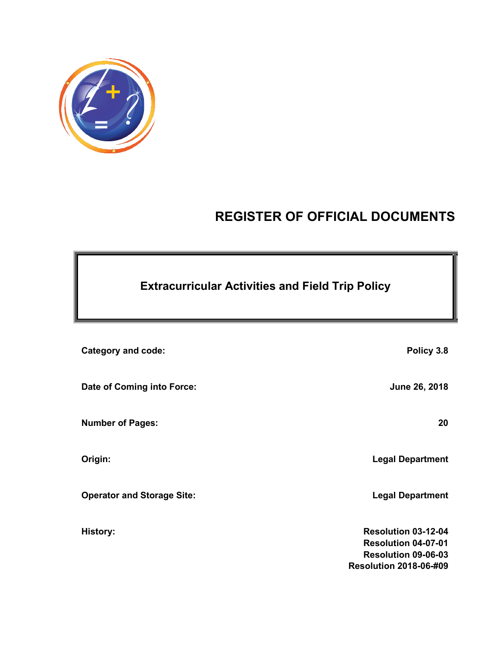

# **REGISTER OF OFFICIAL DOCUMENTS**

| <b>Category and code:</b>         | Policy 3.8                                                                                                       |
|-----------------------------------|------------------------------------------------------------------------------------------------------------------|
| Date of Coming into Force:        | June 26, 2018                                                                                                    |
| <b>Number of Pages:</b>           | 20                                                                                                               |
| Origin:                           | <b>Legal Department</b>                                                                                          |
| <b>Operator and Storage Site:</b> | <b>Legal Department</b>                                                                                          |
| <b>History:</b>                   | Resolution 03-12-04<br><b>Resolution 04-07-01</b><br><b>Resolution 09-06-03</b><br><b>Resolution 2018-06-#09</b> |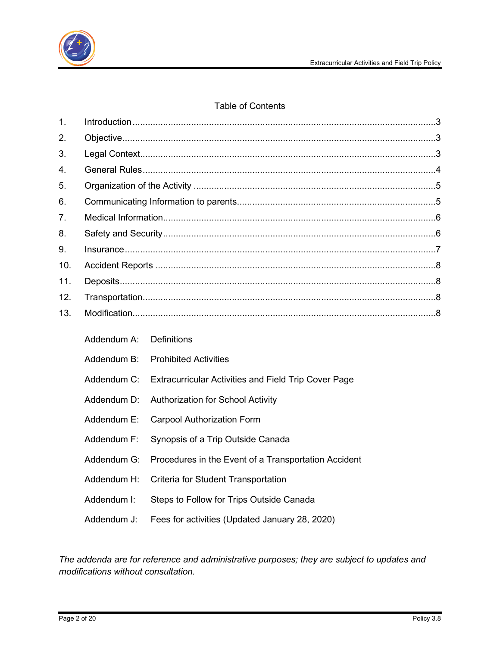

### Table of Contents

| 1.  |             |                                                             |  |  |  |
|-----|-------------|-------------------------------------------------------------|--|--|--|
| 2.  |             |                                                             |  |  |  |
| 3.  |             |                                                             |  |  |  |
| 4.  |             |                                                             |  |  |  |
| 5.  |             |                                                             |  |  |  |
| 6.  |             |                                                             |  |  |  |
| 7.  |             |                                                             |  |  |  |
| 8.  |             |                                                             |  |  |  |
| 9.  |             |                                                             |  |  |  |
| 10. |             |                                                             |  |  |  |
| 11. |             |                                                             |  |  |  |
| 12. |             |                                                             |  |  |  |
| 13. |             |                                                             |  |  |  |
|     | Addendum A: | <b>Definitions</b>                                          |  |  |  |
|     | Addendum B: | <b>Prohibited Activities</b>                                |  |  |  |
|     | Addendum C: | <b>Extracurricular Activities and Field Trip Cover Page</b> |  |  |  |
|     | Addendum D: | <b>Authorization for School Activity</b>                    |  |  |  |
|     | Addendum E: | <b>Carpool Authorization Form</b>                           |  |  |  |
|     | Addendum F: | Synopsis of a Trip Outside Canada                           |  |  |  |
|     | Addendum G: | Procedures in the Event of a Transportation Accident        |  |  |  |
|     | Addendum H: | Criteria for Student Transportation                         |  |  |  |
|     | Addendum I: | Steps to Follow for Trips Outside Canada                    |  |  |  |

Addendum J: Fees for activities (Updated January 28, 2020)

*The addenda are for reference and administrative purposes; they are subject to updates and modifications without consultation.*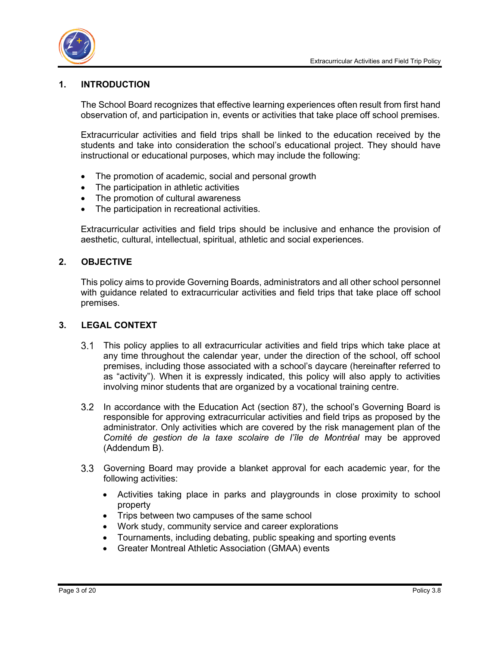

### <span id="page-2-0"></span>**1. INTRODUCTION**

The School Board recognizes that effective learning experiences often result from first hand observation of, and participation in, events or activities that take place off school premises.

Extracurricular activities and field trips shall be linked to the education received by the students and take into consideration the school's educational project. They should have instructional or educational purposes, which may include the following:

- The promotion of academic, social and personal growth
- The participation in athletic activities
- The promotion of cultural awareness
- The participation in recreational activities.

Extracurricular activities and field trips should be inclusive and enhance the provision of aesthetic, cultural, intellectual, spiritual, athletic and social experiences.

### <span id="page-2-1"></span>**2. OBJECTIVE**

This policy aims to provide Governing Boards, administrators and all other school personnel with guidance related to extracurricular activities and field trips that take place off school premises.

### <span id="page-2-2"></span>**3. LEGAL CONTEXT**

- This policy applies to all extracurricular activities and field trips which take place at any time throughout the calendar year, under the direction of the school, off school premises, including those associated with a school's daycare (hereinafter referred to as "activity"). When it is expressly indicated, this policy will also apply to activities involving minor students that are organized by a vocational training centre.
- In accordance with the Education Act (section 87), the school's Governing Board is responsible for approving extracurricular activities and field trips as proposed by the administrator. Only activities which are covered by the risk management plan of the *Comité de gestion de la taxe scolaire de l'île de Montréal* may be approved (Addendum B).
- Governing Board may provide a blanket approval for each academic year, for the following activities:
	- Activities taking place in parks and playgrounds in close proximity to school property
	- Trips between two campuses of the same school
	- Work study, community service and career explorations
	- Tournaments, including debating, public speaking and sporting events
	- Greater Montreal Athletic Association (GMAA) events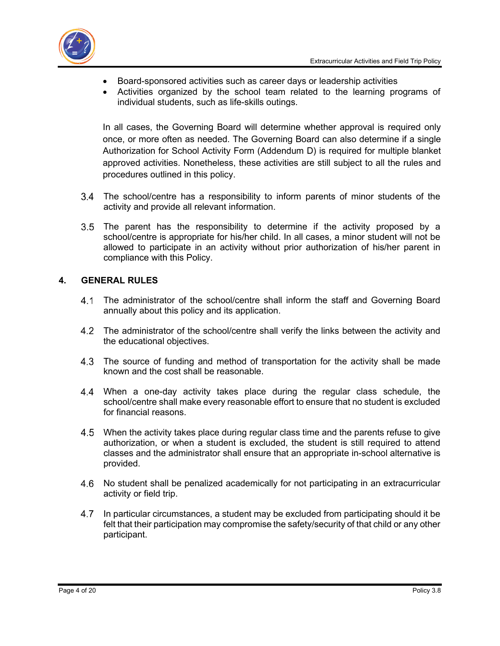

- Board-sponsored activities such as career days or leadership activities
- Activities organized by the school team related to the learning programs of individual students, such as life-skills outings.

In all cases, the Governing Board will determine whether approval is required only once, or more often as needed. The Governing Board can also determine if a single Authorization for School Activity Form (Addendum D) is required for multiple blanket approved activities. Nonetheless, these activities are still subject to all the rules and procedures outlined in this policy.

- The school/centre has a responsibility to inform parents of minor students of the activity and provide all relevant information.
- 3.5 The parent has the responsibility to determine if the activity proposed by a school/centre is appropriate for his/her child. In all cases, a minor student will not be allowed to participate in an activity without prior authorization of his/her parent in compliance with this Policy.

### <span id="page-3-0"></span>**4. GENERAL RULES**

- The administrator of the school/centre shall inform the staff and Governing Board annually about this policy and its application.
- 4.2 The administrator of the school/centre shall verify the links between the activity and the educational objectives.
- 4.3 The source of funding and method of transportation for the activity shall be made known and the cost shall be reasonable.
- When a one-day activity takes place during the regular class schedule, the school/centre shall make every reasonable effort to ensure that no student is excluded for financial reasons.
- 4.5 When the activity takes place during regular class time and the parents refuse to give authorization, or when a student is excluded, the student is still required to attend classes and the administrator shall ensure that an appropriate in-school alternative is provided.
- No student shall be penalized academically for not participating in an extracurricular activity or field trip.
- In particular circumstances, a student may be excluded from participating should it be 4.7 felt that their participation may compromise the safety/security of that child or any other participant.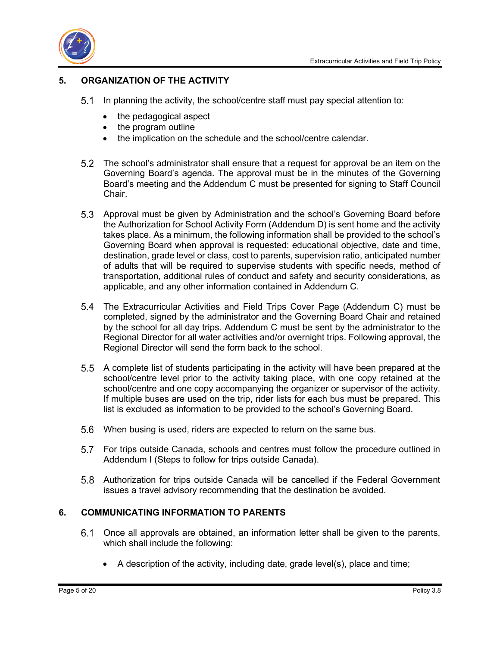



### <span id="page-4-0"></span>**5. ORGANIZATION OF THE ACTIVITY**

- In planning the activity, the school/centre staff must pay special attention to:
	- the pedagogical aspect
	- the program outline
	- the implication on the schedule and the school/centre calendar.
- The school's administrator shall ensure that a request for approval be an item on the Governing Board's agenda. The approval must be in the minutes of the Governing Board's meeting and the Addendum C must be presented for signing to Staff Council Chair.
- Approval must be given by Administration and the school's Governing Board before the Authorization for School Activity Form (Addendum D) is sent home and the activity takes place. As a minimum, the following information shall be provided to the school's Governing Board when approval is requested: educational objective, date and time, destination, grade level or class, cost to parents, supervision ratio, anticipated number of adults that will be required to supervise students with specific needs, method of transportation, additional rules of conduct and safety and security considerations, as applicable, and any other information contained in Addendum C.
- The Extracurricular Activities and Field Trips Cover Page (Addendum C) must be completed, signed by the administrator and the Governing Board Chair and retained by the school for all day trips. Addendum C must be sent by the administrator to the Regional Director for all water activities and/or overnight trips. Following approval, the Regional Director will send the form back to the school.
- A complete list of students participating in the activity will have been prepared at the school/centre level prior to the activity taking place, with one copy retained at the school/centre and one copy accompanying the organizer or supervisor of the activity. If multiple buses are used on the trip, rider lists for each bus must be prepared. This list is excluded as information to be provided to the school's Governing Board.
- When busing is used, riders are expected to return on the same bus.
- For trips outside Canada, schools and centres must follow the procedure outlined in Addendum I (Steps to follow for trips outside Canada).
- Authorization for trips outside Canada will be cancelled if the Federal Government issues a travel advisory recommending that the destination be avoided.

### <span id="page-4-1"></span>**6. COMMUNICATING INFORMATION TO PARENTS**

- Once all approvals are obtained, an information letter shall be given to the parents, which shall include the following:
	- A description of the activity, including date, grade level(s), place and time;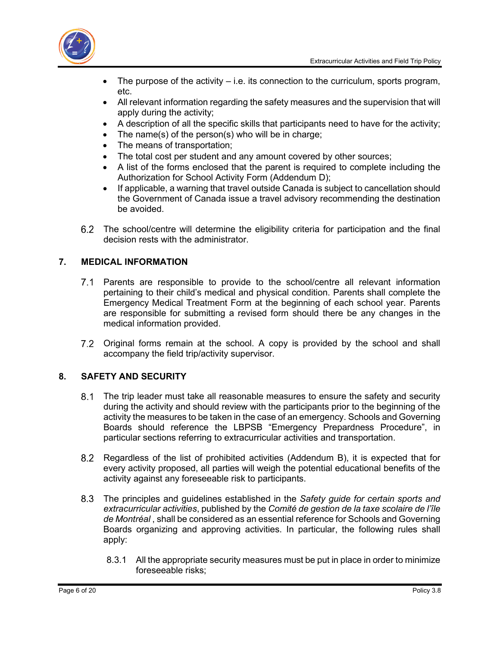

- The purpose of the activity  $-$  i.e. its connection to the curriculum, sports program, etc.
- All relevant information regarding the safety measures and the supervision that will apply during the activity;
- A description of all the specific skills that participants need to have for the activity;
- The name(s) of the person(s) who will be in charge;
- The means of transportation;
- The total cost per student and any amount covered by other sources;
- A list of the forms enclosed that the parent is required to complete including the Authorization for School Activity Form (Addendum D);
- If applicable, a warning that travel outside Canada is subject to cancellation should the Government of Canada issue a travel advisory recommending the destination be avoided.
- The school/centre will determine the eligibility criteria for participation and the final decision rests with the administrator.

### <span id="page-5-0"></span>**7. MEDICAL INFORMATION**

- Parents are responsible to provide to the school/centre all relevant information pertaining to their child's medical and physical condition. Parents shall complete the Emergency Medical Treatment Form at the beginning of each school year. Parents are responsible for submitting a revised form should there be any changes in the medical information provided.
- Original forms remain at the school. A copy is provided by the school and shall accompany the field trip/activity supervisor.

### <span id="page-5-1"></span>**8. SAFETY AND SECURITY**

- The trip leader must take all reasonable measures to ensure the safety and security during the activity and should review with the participants prior to the beginning of the activity the measures to be taken in the case of an emergency. Schools and Governing Boards should reference the LBPSB "Emergency Prepardness Procedure", in particular sections referring to extracurricular activities and transportation.
- Regardless of the list of prohibited activities (Addendum B), it is expected that for every activity proposed, all parties will weigh the potential educational benefits of the activity against any foreseeable risk to participants.
- The principles and guidelines established in the *Safety guide for certain sports and extracurricular activities*, published by the *Comité de gestion de la taxe scolaire de l'île de Montréal* , shall be considered as an essential reference for Schools and Governing Boards organizing and approving activities. In particular, the following rules shall apply:
	- 8.3.1 All the appropriate security measures must be put in place in order to minimize foreseeable risks;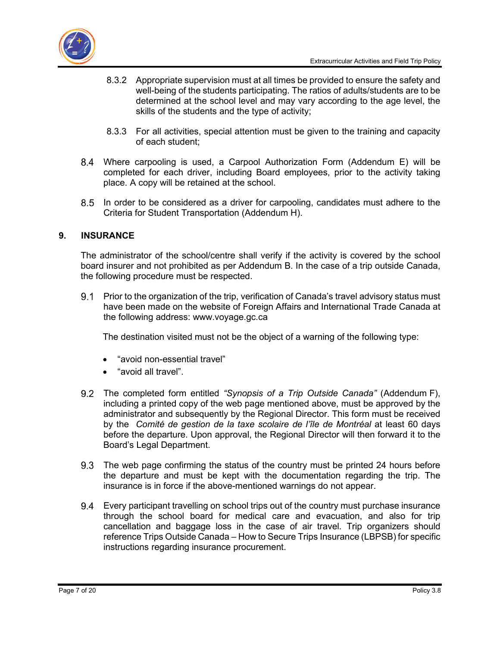

- 8.3.2 Appropriate supervision must at all times be provided to ensure the safety and well-being of the students participating. The ratios of adults/students are to be determined at the school level and may vary according to the age level, the skills of the students and the type of activity;
- 8.3.3 For all activities, special attention must be given to the training and capacity of each student;
- Where carpooling is used, a Carpool Authorization Form (Addendum E) will be completed for each driver, including Board employees, prior to the activity taking place. A copy will be retained at the school.
- 8.5 In order to be considered as a driver for carpooling, candidates must adhere to the Criteria for Student Transportation (Addendum H).

### <span id="page-6-0"></span>**9. INSURANCE**

The administrator of the school/centre shall verify if the activity is covered by the school board insurer and not prohibited as per Addendum B. In the case of a trip outside Canada, the following procedure must be respected.

9.1 Prior to the organization of the trip, verification of Canada's travel advisory status must have been made on the website of Foreign Affairs and International Trade Canada at the following address: [www.voyage.gc.ca](http://www.voyage.gc.ca/)

The destination visited must not be the object of a warning of the following type:

- "avoid non-essential travel"
- "avoid all travel".
- The completed form entitled *"Synopsis of a Trip Outside Canada"* (Addendum F), including a printed copy of the web page mentioned above, must be approved by the administrator and subsequently by the Regional Director. This form must be received by the *Comité de gestion de la taxe scolaire de l'île de Montréal* at least 60 days before the departure. Upon approval, the Regional Director will then forward it to the Board's Legal Department.
- The web page confirming the status of the country must be printed 24 hours before the departure and must be kept with the documentation regarding the trip. The insurance is in force if the above-mentioned warnings do not appear.
- Every participant travelling on school trips out of the country must purchase insurance through the school board for medical care and evacuation, and also for trip cancellation and baggage loss in the case of air travel. Trip organizers should reference Trips Outside Canada – How to Secure Trips Insurance (LBPSB) for specific instructions regarding insurance procurement.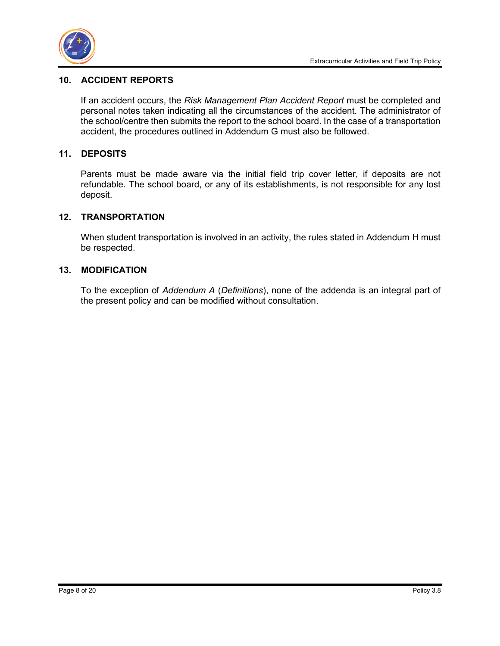### <span id="page-7-0"></span>**10. ACCIDENT REPORTS**

If an accident occurs, the *Risk Management Plan Accident Report* must be completed and personal notes taken indicating all the circumstances of the accident. The administrator of the school/centre then submits the report to the school board. In the case of a transportation accident, the procedures outlined in Addendum G must also be followed.

### <span id="page-7-1"></span>**11. DEPOSITS**

Parents must be made aware via the initial field trip cover letter, if deposits are not refundable. The school board, or any of its establishments, is not responsible for any lost deposit.

### <span id="page-7-2"></span>**12. TRANSPORTATION**

When student transportation is involved in an activity, the rules stated in Addendum H must be respected.

### <span id="page-7-3"></span>**13. MODIFICATION**

To the exception of *Addendum A* (*Definitions*), none of the addenda is an integral part of the present policy and can be modified without consultation.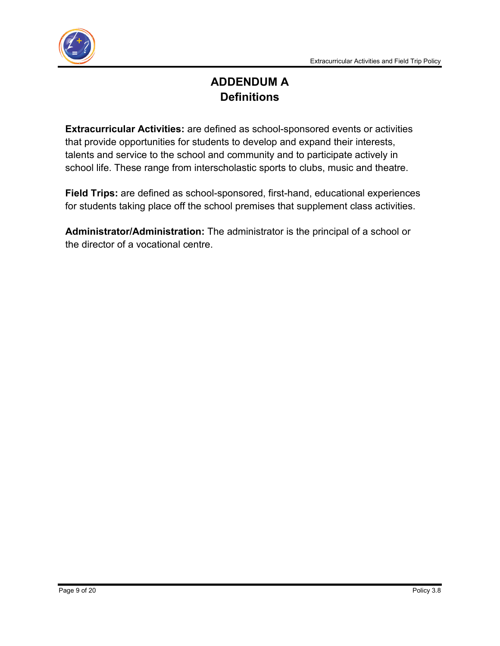

# **ADDENDUM A Definitions**

**Extracurricular Activities:** are defined as school-sponsored events or activities that provide opportunities for students to develop and expand their interests, talents and service to the school and community and to participate actively in school life. These range from interscholastic sports to clubs, music and theatre.

**Field Trips:** are defined as school-sponsored, first-hand, educational experiences for students taking place off the school premises that supplement class activities.

**Administrator/Administration:** The administrator is the principal of a school or the director of a vocational centre.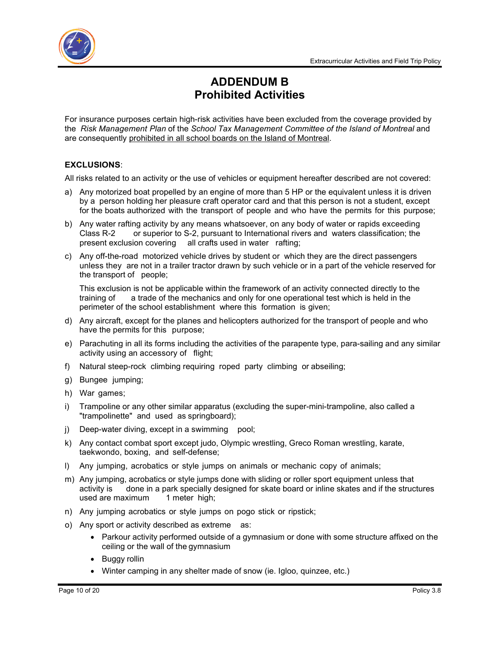

## **ADDENDUM B Prohibited Activities**

For insurance purposes certain high-risk activities have been excluded from the coverage provided by the *Risk Management Plan* of the *School Tax Management Committee of the Island of Montreal* and are consequently prohibited in all school boards on the Island of Montreal.

### **EXCLUSIONS**:

All risks related to an activity or the use of vehicles or equipment hereafter described are not covered:

- a) Any motorized boat propelled by an engine of more than 5 HP or the equivalent unless it is driven by a person holding her pleasure craft operator card and that this person is not a student, except for the boats authorized with the transport of people and who have the permits for this purpose;
- b) Any water rafting activity by any means whatsoever, on any body of water or rapids exceeding Class R-2 or superior to S-2, pursuant to International rivers and waters classification; the present exclusion covering all crafts used in water rafting;
- c) Any off-the-road motorized vehicle drives by student or which they are the direct passengers unless they are not in a trailer tractor drawn by such vehicle or in a part of the vehicle reserved for the transport of people;

This exclusion is not be applicable within the framework of an activity connected directly to the training of a trade of the mechanics and only for one operational test which is held in the perimeter of the school establishment where this formation is given;

- d) Any aircraft, except for the planes and helicopters authorized for the transport of people and who have the permits for this purpose;
- e) Parachuting in all its forms including the activities of the parapente type, para-sailing and any similar activity using an accessory of flight;
- f) Natural steep-rock climbing requiring roped party climbing or abseiling;
- g) Bungee jumping;
- h) War games;
- i) Trampoline or any other similar apparatus (excluding the super-mini-trampoline, also called a "trampolinette" and used as springboard);
- j) Deep-water diving, except in a swimming pool;
- k) Any contact combat sport except judo, Olympic wrestling, Greco Roman wrestling, karate, taekwondo, boxing, and self-defense;
- l) Any jumping, acrobatics or style jumps on animals or mechanic copy of animals;
- m) Any jumping, acrobatics or style jumps done with sliding or roller sport equipment unless that activity is done in a park specially designed for skate board or inline skates and if the structures used are maximum 1 meter high;
- n) Any jumping acrobatics or style jumps on pogo stick or ripstick;
- o) Any sport or activity described as extreme as:
	- Parkour activity performed outside of a gymnasium or done with some structure affixed on the ceiling or the wall of the gymnasium
	- Buggy rollin
	- Winter camping in any shelter made of snow (ie. Igloo, quinzee, etc.)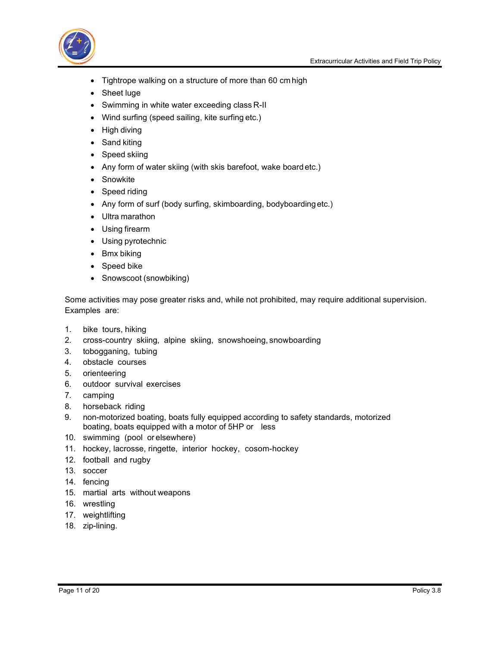

- Tightrope walking on a structure of more than 60 cm high
- Sheet luge
- Swimming in white water exceeding class R-II
- Wind surfing (speed sailing, kite surfing etc.)
- High diving
- Sand kiting
- Speed skiing
- Any form of water skiing (with skis barefoot, wake boardetc.)
- Snowkite
- Speed riding
- Any form of surf (body surfing, skimboarding, bodyboardingetc.)
- Ultra marathon
- Using firearm
- Using pyrotechnic
- Bmx biking
- Speed bike
- Snowscoot (snowbiking)

Some activities may pose greater risks and, while not prohibited, may require additional supervision. Examples are:

- 1. bike tours, hiking
- 2. cross-country skiing, alpine skiing, snowshoeing, snowboarding
- 3. tobogganing, tubing
- 4. obstacle courses
- 5. orienteering
- 6. outdoor survival exercises
- 7. camping
- 8. horseback riding
- 9. non-motorized boating, boats fully equipped according to safety standards, motorized boating, boats equipped with a motor of 5HP or less
- 10. swimming (pool or elsewhere)
- 11. hockey, lacrosse, ringette, interior hockey, cosom-hockey
- 12. football and rugby
- 13. soccer
- 14. fencing
- 15. martial arts without weapons
- 16. wrestling
- 17. weightlifting
- 18. zip-lining.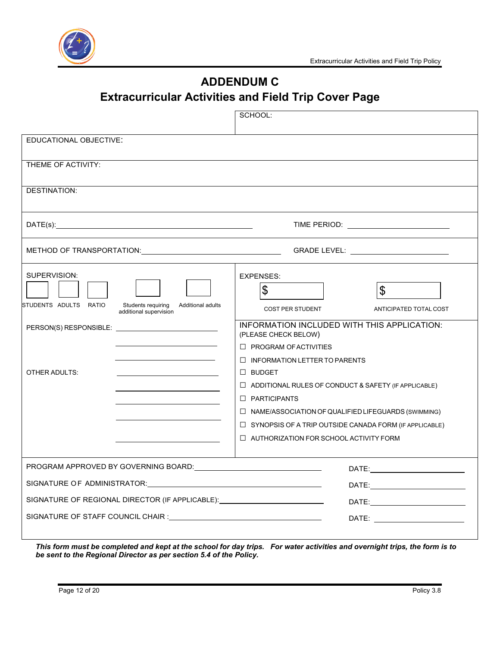

# **ADDENDUM C**

# **Extracurricular Activities and Field Trip Cover Page**

|                                                                                                                                                                                                                               | SCHOOL:                                                                                                                                                                                                                        |  |  |  |  |
|-------------------------------------------------------------------------------------------------------------------------------------------------------------------------------------------------------------------------------|--------------------------------------------------------------------------------------------------------------------------------------------------------------------------------------------------------------------------------|--|--|--|--|
| EDUCATIONAL OBJECTIVE:                                                                                                                                                                                                        |                                                                                                                                                                                                                                |  |  |  |  |
| THEME OF ACTIVITY:                                                                                                                                                                                                            |                                                                                                                                                                                                                                |  |  |  |  |
| <b>DESTINATION:</b>                                                                                                                                                                                                           |                                                                                                                                                                                                                                |  |  |  |  |
| TIME PERIOD: <u>_________________________</u>                                                                                                                                                                                 |                                                                                                                                                                                                                                |  |  |  |  |
| METHOD OF TRANSPORTATION: METHOD OF TRANSPORTATION:                                                                                                                                                                           | GRADE LEVEL: ____________________________                                                                                                                                                                                      |  |  |  |  |
| SUPERVISION:<br>STUDENTS ADULTS RATIO<br>Students requiring<br>Additional adults<br>additional supervision                                                                                                                    | EXPENSES:<br>\$<br>\$<br><b>COST PER STUDENT</b><br>ANTICIPATED TOTAL COST<br>INFORMATION INCLUDED WITH THIS APPLICATION:                                                                                                      |  |  |  |  |
| <u> 1980 - Johann Barn, mars ann an t-Amhain Aonaich an t-Aonaich an t-Aonaich ann an t-Aonaich ann an t-Aonaich</u><br>OTHER ADULTS:                                                                                         | (PLEASE CHECK BELOW)<br>$\Box$ PROGRAM OF ACTIVITIES<br>$\Box$ INFORMATION LETTER TO PARENTS<br>$\Box$ BUDGET<br>$\Box$ ADDITIONAL RULES OF CONDUCT & SAFETY (IF APPLICABLE)                                                   |  |  |  |  |
|                                                                                                                                                                                                                               | $\Box$ PARTICIPANTS<br>□ NAME/ASSOCIATION OF QUALIFIED LIFEGUARDS (SWIMMING)<br>$\Box$ SYNOPSIS OF A TRIP OUTSIDE CANADA FORM (IF APPLICABLE)<br>$\Box$ AUTHORIZATION FOR SCHOOL ACTIVITY FORM                                 |  |  |  |  |
| PROGRAM APPROVED BY GOVERNING BOARD: CONFIDENTIAL CONTROL CONTROL CONTROL CONTROL CONTROL CONTROL CONTROL CONT                                                                                                                | DATE: the contract of the contract of the contract of the contract of the contract of the contract of the contract of the contract of the contract of the contract of the contract of the contract of the contract of the cont |  |  |  |  |
| SIGNATURE OF ADMINISTRATOR: New York Contract the Contract of the Contract of the Contract of the Contract of the Contract of the Contract of the Contract of the Contract of the Contract of the Contract of the Contract of |                                                                                                                                                                                                                                |  |  |  |  |
| SIGNATURE OF REGIONAL DIRECTOR (IF APPLICABLE): ________________________________                                                                                                                                              |                                                                                                                                                                                                                                |  |  |  |  |
|                                                                                                                                                                                                                               |                                                                                                                                                                                                                                |  |  |  |  |
|                                                                                                                                                                                                                               | This form must be completed and kept at the school for day trips. For water activities and overnight trips, the form is to                                                                                                     |  |  |  |  |

*be sent to the Regional Director as per section 5.4 of the Policy.*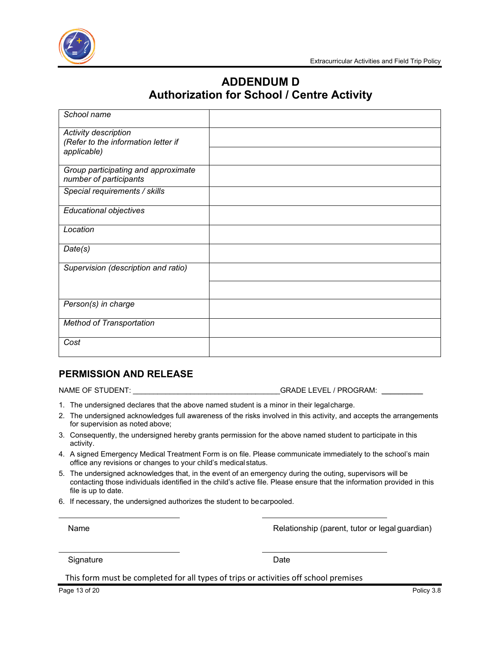

## **ADDENDUM D Authorization for School / Centre Activity**

| School name                                                   |  |
|---------------------------------------------------------------|--|
| Activity description                                          |  |
| (Refer to the information letter if                           |  |
| applicable)                                                   |  |
| Group participating and approximate<br>number of participants |  |
| Special requirements / skills                                 |  |
| Educational objectives                                        |  |
| Location                                                      |  |
| Date(s)                                                       |  |
| Supervision (description and ratio)                           |  |
|                                                               |  |
| Person(s) in charge                                           |  |
| <b>Method of Transportation</b>                               |  |
| Cost                                                          |  |

### **PERMISSION AND RELEASE**

NAME OF STUDENT: \_\_\_\_\_\_\_\_\_\_\_\_\_\_\_\_\_\_\_\_\_\_\_\_\_\_\_\_\_\_\_\_\_\_\_\_GRADE LEVEL / PROGRAM: \_\_\_\_\_\_\_\_\_\_

- 1. The undersigned declares that the above named student is a minor in their legalcharge.
- 2. The undersigned acknowledges full awareness of the risks involved in this activity, and accepts the arrangements for supervision as noted above;
- 3. Consequently, the undersigned hereby grants permission for the above named student to participate in this activity.
- 4. A signed Emergency Medical Treatment Form is on file. Please communicate immediately to the school's main office any revisions or changes to your child's medicalstatus.
- 5. The undersigned acknowledges that, in the event of an emergency during the outing, supervisors will be contacting those individuals identified in the child's active file. Please ensure that the information provided in this file is up to date.
- 6. If necessary, the undersigned authorizes the student to becarpooled.

Name **Name Relationship (parent, tutor or legal guardian)** Relationship (parent, tutor or legal guardian)

Signature Date **Date** 

This form must be completed for all types of trips or activities off school premises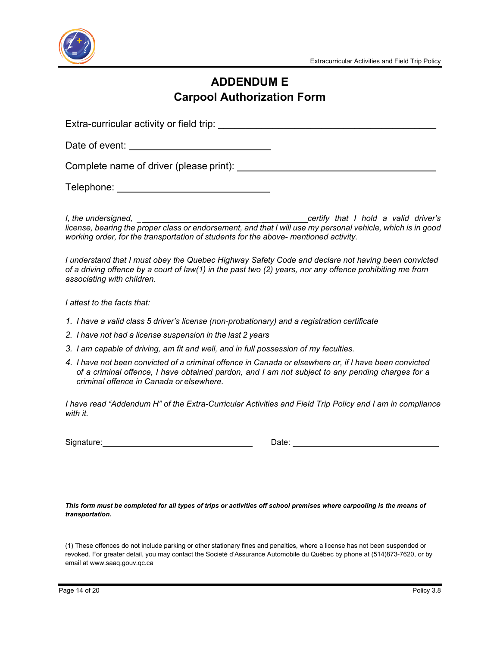

## **ADDENDUM E Carpool Authorization Form**

Extra-curricular activity or field trip: \_\_\_\_\_\_\_\_\_\_\_\_\_\_\_\_\_\_\_\_\_\_\_\_\_\_\_\_\_\_\_\_\_\_\_\_\_\_\_\_

Date of event:  $\blacksquare$ 

Complete name of driver (please print):  $\blacksquare$ 

Telephone: \_\_\_\_\_\_\_\_\_\_\_\_\_\_\_\_\_\_\_\_\_\_\_\_\_\_\_\_\_\_\_

*I, the undersigned, \_ \_ certify that I hold a valid driver's* license, bearing the proper class or endorsement, and that I will use my personal vehicle, which is in good *working order, for the transportation of students for the above- mentioned activity.*

*I understand that I must obey the Quebec Highway Safety Code and declare not having been convicted of a driving offence by a court of law(1) in the past two (2) years, nor any offence prohibiting me from associating with children.*

*I attest to the facts that:*

- *1. I have a valid class 5 driver's license (non-probationary) and a registration certificate*
- *2. I have not had a license suspension in the last 2 years*
- *3. I am capable of driving, am fit and well, and in full possession of my faculties.*
- *4. I have not been convicted of a criminal offence in Canada or elsewhere or, if I have been convicted of a criminal offence, I have obtained pardon, and I am not subject to any pending charges for a criminal offence in Canada or elsewhere.*

*I have read "Addendum H" of the Extra-Curricular Activities and Field Trip Policy and I am in compliance with it.*

Signature: Date: \_\_\_\_\_\_\_\_\_\_\_\_\_\_\_\_\_\_\_\_\_\_\_\_\_\_\_\_\_\_\_\_

*This form must be completed for all types of trips or activities off school premises where carpooling is the means of transportation.*

(1) These offences do not include parking or other stationary fines and penalties, where a license has not been suspended or revoked. For greater detail, you may contact the Societé d'Assurance Automobile du Québec by phone at (514)873-7620, or by email at [www.saaq.gouv.qc.ca](http://www.saaq.gouv.qc.ca/)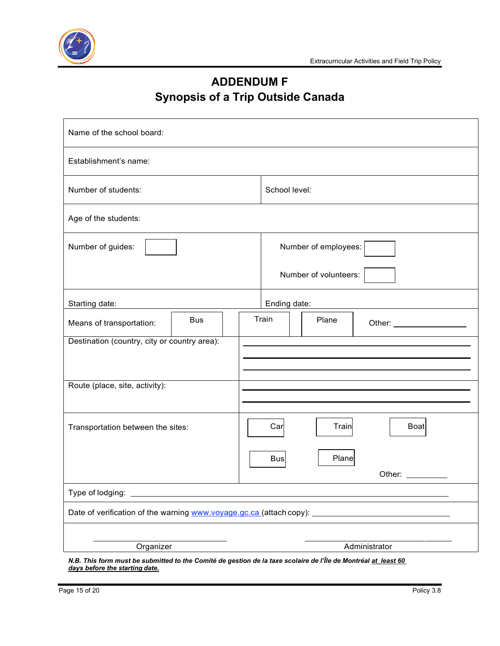

# **ADDENDUM F Synopsis of a Trip Outside Canada**

| Name of the school board:                                                                                                                                      |            |     |                       |              |                                                                                                                                                                                                                                |  |  |
|----------------------------------------------------------------------------------------------------------------------------------------------------------------|------------|-----|-----------------------|--------------|--------------------------------------------------------------------------------------------------------------------------------------------------------------------------------------------------------------------------------|--|--|
| Establishment's name:                                                                                                                                          |            |     |                       |              |                                                                                                                                                                                                                                |  |  |
| Number of students:                                                                                                                                            |            |     | School level:         |              |                                                                                                                                                                                                                                |  |  |
| Age of the students:                                                                                                                                           |            |     |                       |              |                                                                                                                                                                                                                                |  |  |
| Number of guides:                                                                                                                                              |            |     | Number of employees:  |              |                                                                                                                                                                                                                                |  |  |
|                                                                                                                                                                |            |     | Number of volunteers: |              |                                                                                                                                                                                                                                |  |  |
| Starting date:                                                                                                                                                 |            |     |                       | Ending date: |                                                                                                                                                                                                                                |  |  |
| Means of transportation:                                                                                                                                       | <b>Bus</b> |     | Train                 | Plane        | Other: _____________________                                                                                                                                                                                                   |  |  |
| Destination (country, city or country area):                                                                                                                   |            |     |                       |              |                                                                                                                                                                                                                                |  |  |
|                                                                                                                                                                |            |     |                       |              |                                                                                                                                                                                                                                |  |  |
| Route (place, site, activity):                                                                                                                                 |            |     |                       |              |                                                                                                                                                                                                                                |  |  |
|                                                                                                                                                                |            |     |                       |              |                                                                                                                                                                                                                                |  |  |
| Transportation between the sites:                                                                                                                              |            | Car | Train                 | <b>Boat</b>  |                                                                                                                                                                                                                                |  |  |
|                                                                                                                                                                |            |     | <b>Bus</b>            | Plane        |                                                                                                                                                                                                                                |  |  |
|                                                                                                                                                                |            |     |                       |              | Other: and the state of the state of the state of the state of the state of the state of the state of the state of the state of the state of the state of the state of the state of the state of the state of the state of the |  |  |
|                                                                                                                                                                |            |     |                       |              |                                                                                                                                                                                                                                |  |  |
|                                                                                                                                                                |            |     |                       |              |                                                                                                                                                                                                                                |  |  |
|                                                                                                                                                                |            |     |                       |              |                                                                                                                                                                                                                                |  |  |
| Organizer<br>Administrator<br><u> 1989 - Johann Barbara, martxa a shekara 1989 - An</u><br>the distribution Counter do not them do to top constant on the file |            |     |                       |              |                                                                                                                                                                                                                                |  |  |

*N.B. This form must be submitted to the Comité de gestion de la taxe scolaire de l'Île de Montréal at\_least 60 days before the starting date.*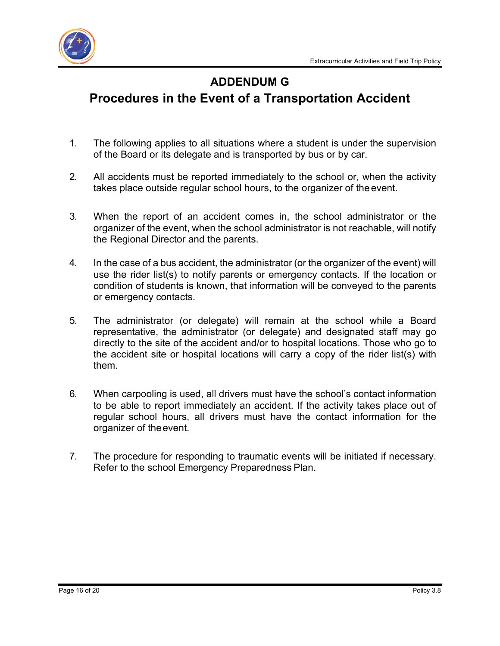

## **ADDENDUM G**

# **Procedures in the Event of a Transportation Accident**

- 1. The following applies to all situations where a student is under the supervision of the Board or its delegate and is transported by bus or by car.
- 2. All accidents must be reported immediately to the school or, when the activity takes place outside regular school hours, to the organizer of the event.
- 3. When the report of an accident comes in, the school administrator or the organizer of the event, when the school administrator is not reachable, will notify the Regional Director and the parents.
- 4. In the case of a bus accident, the administrator (or the organizer of the event) will use the rider list(s) to notify parents or emergency contacts. If the location or condition of students is known, that information will be conveyed to the parents or emergency contacts.
- 5. The administrator (or delegate) will remain at the school while a Board representative, the administrator (or delegate) and designated staff may go directly to the site of the accident and/or to hospital locations. Those who go to the accident site or hospital locations will carry a copy of the rider list(s) with them.
- 6. When carpooling is used, all drivers must have the school's contact information to be able to report immediately an accident. If the activity takes place out of regular school hours, all drivers must have the contact information for the organizer of theevent.
- 7. The procedure for responding to traumatic events will be initiated if necessary. Refer to the school Emergency Preparedness Plan.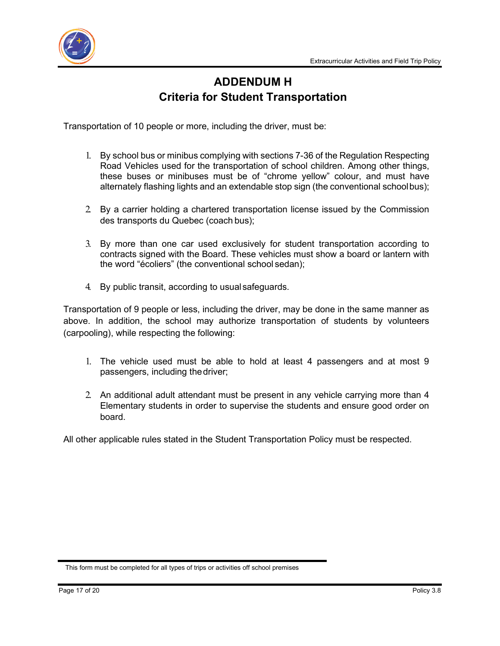

## **ADDENDUM H Criteria for Student Transportation**

Transportation of 10 people or more, including the driver, must be:

- 1. By school bus or minibus complying with sections 7-36 of the Regulation Respecting Road Vehicles used for the transportation of school children. Among other things, these buses or minibuses must be of "chrome yellow" colour, and must have alternately flashing lights and an extendable stop sign (the conventional schoolbus);
- 2. By a carrier holding a chartered transportation license issued by the Commission des transports du Quebec (coach bus);
- 3. By more than one car used exclusively for student transportation according to contracts signed with the Board. These vehicles must show a board or lantern with the word "écoliers" (the conventional school sedan);
- 4. By public transit, according to usualsafeguards.

Transportation of 9 people or less, including the driver, may be done in the same manner as above. In addition, the school may authorize transportation of students by volunteers (carpooling), while respecting the following:

- 1. The vehicle used must be able to hold at least 4 passengers and at most 9 passengers, including thedriver;
- 2. An additional adult attendant must be present in any vehicle carrying more than 4 Elementary students in order to supervise the students and ensure good order on board.

All other applicable rules stated in the Student Transportation Policy must be respected.

This form must be completed for all types of trips or activities off school premises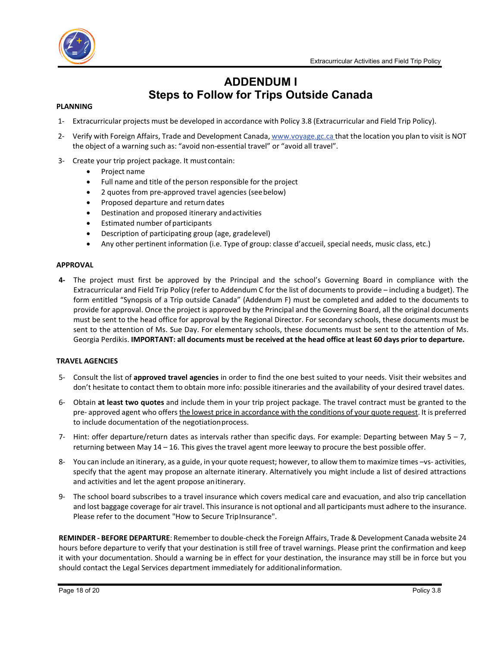



## **ADDENDUM I Steps to Follow for Trips Outside Canada**

#### **PLANNING**

- 1- Extracurricular projects must be developed in accordance with Policy 3.8 (Extracurricular and Field Trip Policy).
- 2- Verify with Foreign Affairs, Trade and Development Canada, www.voyage.gc.ca that the location you plan to visit is NOT the object of a warning such as: "avoid non-essential travel" or "avoid all travel".
- 3- Create your trip project package. It mustcontain:
	- Project name
	- Full name and title of the person responsible for the project
	- 2 quotes from pre-approved travel agencies (seebelow)
	- Proposed departure and return dates
	- Destination and proposed itinerary andactivities
	- Estimated number of participants
	- Description of participating group (age, gradelevel)
	- Any other pertinent information (i.e. Type of group: classe d'accueil, special needs, music class, etc.)

#### **APPROVAL**

**4-** The project must first be approved by the Principal and the school's Governing Board in compliance with the Extracurricular and Field Trip Policy (refer to Addendum C for the list of documents to provide – including a budget). The form entitled "Synopsis of a Trip outside Canada" (Addendum F) must be completed and added to the documents to provide for approval. Once the project is approved by the Principal and the Governing Board, all the original documents must be sent to the head office for approval by the Regional Director. For secondary schools, these documents must be sent to the attention of Ms. Sue Day. For elementary schools, these documents must be sent to the attention of Ms. Georgia Perdikis. IMPORTANT: all documents must be received at the head office at least 60 days prior to departure.

#### **TRAVEL AGENCIES**

- 5- Consult the list of **approved travel agencies** in order to find the one best suited to your needs. Visit their websites and don't hesitate to contact them to obtain more info: possible itineraries and the availability of your desired travel dates.
- 6- Obtain **at least two quotes** and include them in your trip project package. The travel contract must be granted to the pre- approved agent who offers the lowest price in accordance with the conditions of your quote request. It is preferred to include documentation of the negotiationprocess.
- 7- Hint: offer departure/return dates as intervals rather than specific days. For example: Departing between May  $5 7$ , returning between May 14 – 16. This gives the travel agent more leeway to procure the best possible offer.
- 8- You can include an itinerary, as a guide, in your quote request; however, to allow them to maximize times –vs- activities, specify that the agent may propose an alternate itinerary. Alternatively you might include a list of desired attractions and activities and let the agent propose anitinerary.
- 9- The school board subscribes to a travel insurance which covers medical care and evacuation, and also trip cancellation and lost baggage coverage for air travel. This insurance is not optional and all participants must adhere to the insurance. Please refer to the document "How to Secure TripInsurance".

**REMINDER - BEFORE DEPARTURE**: Remember to double-check the Foreign Affairs, Trade & Development Canada website 24 hours before departure to verify that your destination is still free of travel warnings. Please print the confirmation and keep it with your documentation. Should a warning be in effect for your destination, the insurance may still be in force but you should contact the Legal Services department immediately for additionalinformation.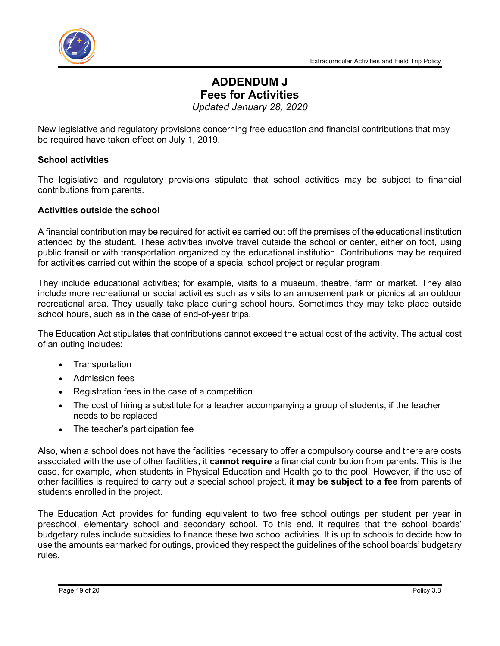



## **ADDENDUM J Fees for Activities**

*Updated January 28, 2020*

New legislative and regulatory provisions concerning free education and financial contributions that may be required have taken effect on July 1, 2019.

### **School activities**

The legislative and regulatory provisions stipulate that school activities may be subject to financial contributions from parents.

### **Activities outside the school**

A financial contribution may be required for activities carried out off the premises of the educational institution attended by the student. These activities involve travel outside the school or center, either on foot, using public transit or with transportation organized by the educational institution. Contributions may be required for activities carried out within the scope of a special school project or regular program.

They include educational activities; for example, visits to a museum, theatre, farm or market. They also include more recreational or social activities such as visits to an amusement park or picnics at an outdoor recreational area. They usually take place during school hours. Sometimes they may take place outside school hours, such as in the case of end-of-year trips.

The Education Act stipulates that contributions cannot exceed the actual cost of the activity. The actual cost of an outing includes:

- **Transportation**
- Admission fees
- Registration fees in the case of a competition
- The cost of hiring a substitute for a teacher accompanying a group of students, if the teacher needs to be replaced
- The teacher's participation fee

Also, when a school does not have the facilities necessary to offer a compulsory course and there are costs associated with the use of other facilities, it **cannot require** a financial contribution from parents. This is the case, for example, when students in Physical Education and Health go to the pool. However, if the use of other facilities is required to carry out a special school project, it **may be subject to a fee** from parents of students enrolled in the project.

The Education Act provides for funding equivalent to two free school outings per student per year in preschool, elementary school and secondary school. To this end, it requires that the school boards' budgetary rules include subsidies to finance these two school activities. It is up to schools to decide how to use the amounts earmarked for outings, provided they respect the guidelines of the school boards' budgetary rules.